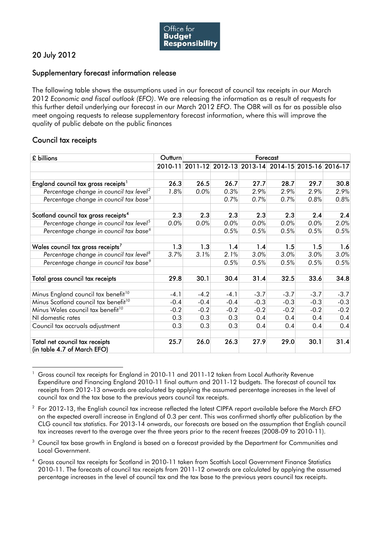## 20 July 2012

## <span id="page-0-4"></span>Supplementary forecast information release

<span id="page-0-6"></span><span id="page-0-5"></span>The following table shows the assumptions used in our forecast of council tax receipts in our March 2012 *Economic and fiscal outlook (EFO)*. We are releasing the information as a result of requests for this further detail underlying our forecast in our March 2012 *EFO*. The OBR will as far as possible also meet ongoing requests to release supplementary forecast information, where this will improve the quality of public debate on the public finances

## <span id="page-0-7"></span>Council tax receipts

<span id="page-0-9"></span><span id="page-0-8"></span>

| £ billions                                                    | Outturn | Forecast |        |        |                                                         |        |        |
|---------------------------------------------------------------|---------|----------|--------|--------|---------------------------------------------------------|--------|--------|
|                                                               |         |          |        |        | 2010-11 2011-12 2012-13 2013-14 2014-15 2015-16 2016-17 |        |        |
| England council tax gross receipts <sup>1</sup>               | 26.3    | 26.5     | 26.7   | 27.7   | 28.7                                                    | 29.7   | 30.8   |
| Percentage change in council tax level <sup>2</sup>           | 1.8%    | 0.0%     | 0.3%   | 2.9%   | 2.9%                                                    | 2.9%   | 2.9%   |
| Percentage change in council tax base <sup>3</sup>            |         |          | 0.7%   | 0.7%   | 0.7%                                                    | 0.8%   | 0.8%   |
| Scotland council tax gross receipts <sup>4</sup>              | 2.3     | 2.3      | 2.3    | 2.3    | 2.3                                                     | 2.4    | 2.4    |
| Percentage change in council tax level <sup>5</sup>           | 0.0%    | 0.0%     | 0.0%   | 0.0%   | $0.0\%$                                                 | 0.0%   | 2.0%   |
| Percentage change in council tax base <sup>6</sup>            |         |          | 0.5%   | 0.5%   | 0.5%                                                    | 0.5%   | 0.5%   |
| Wales council tax gross receipts <sup>7</sup>                 | 1.3     | 1.3      | 1.4    | 1.4    | 1.5                                                     | 1.5    | 1.6    |
| Percentage change in council tax level <sup>8</sup>           | 3.7%    | 3.1%     | 2.1%   | 3.0%   | 3.0%                                                    | 3.0%   | 3.0%   |
| Percentage change in council tax base <sup>9</sup>            |         |          | 0.5%   | 0.5%   | 0.5%                                                    | 0.5%   | 0.5%   |
| Total gross council tax receipts                              | 29.8    | 30.1     | 30.4   | 31.4   | 32.5                                                    | 33.6   | 34.8   |
| Minus England council tax benefit <sup>10</sup>               | $-4.1$  | $-4.2$   | $-4.1$ | $-3.7$ | $-3.7$                                                  | $-3.7$ | $-3.7$ |
| Minus Scotland council tax benefit <sup>10</sup>              | $-0.4$  | $-0.4$   | $-0.4$ | $-0.3$ | $-0.3$                                                  | $-0.3$ | $-0.3$ |
| Minus Wales council tax benefit <sup>10</sup>                 | $-0.2$  | $-0.2$   | $-0.2$ | $-0.2$ | $-0.2$                                                  | $-0.2$ | $-0.2$ |
| NI domestic rates                                             | 0.3     | 0.3      | 0.3    | 0.4    | 0.4                                                     | 0.4    | 0.4    |
| Council tax accruals adjustment                               | 0.3     | 0.3      | 0.3    | 0.4    | 0.4                                                     | 0.4    | 0.4    |
| Total net council tax receipts<br>(in table 4.7 of March EFO) | 25.7    | 26.0     | 26.3   | 27.9   | 29.0                                                    | 30.1   | 31.4   |

<span id="page-0-0"></span> $\overline{a}$ 1 Gross council tax receipts for England in 2010-11 and 2011-12 taken from Local Authority Revenue Expenditure and Financing England 2010-11 final outturn and 2011-12 budgets. The forecast of council tax receipts from 2012-13 onwards are calculated by applying the assumed percentage increases in the level of council tax and the tax base to the previous years council tax receipts.

<span id="page-0-2"></span> $^3$  Council tax base growth in England is based on a forecast provided by the Department for Communities and Local Government.

<span id="page-0-1"></span><sup>2</sup> For 2012-13, the English council tax increase reflected the latest CIPFA report available before the March *EFO*  on the expected overall increase in England of 0.3 per cent. This was confirmed shortly after publication by the CLG council tax statistics. For 2013-14 onwards, our forecasts are based on the assumption that English council tax increases revert to the average over the three years prior to the recent freezes (2008-09 to 2010-11).

<span id="page-0-3"></span><sup>4</sup> Gross council tax receipts for Scotland in 2010-11 taken from Scottish Local Government Finance Statistics 2010-11. The forecasts of council tax receipts from 2011-12 onwards are calculated by applying the assumed percentage increases in the level of council tax and the tax base to the previous years council tax receipts.